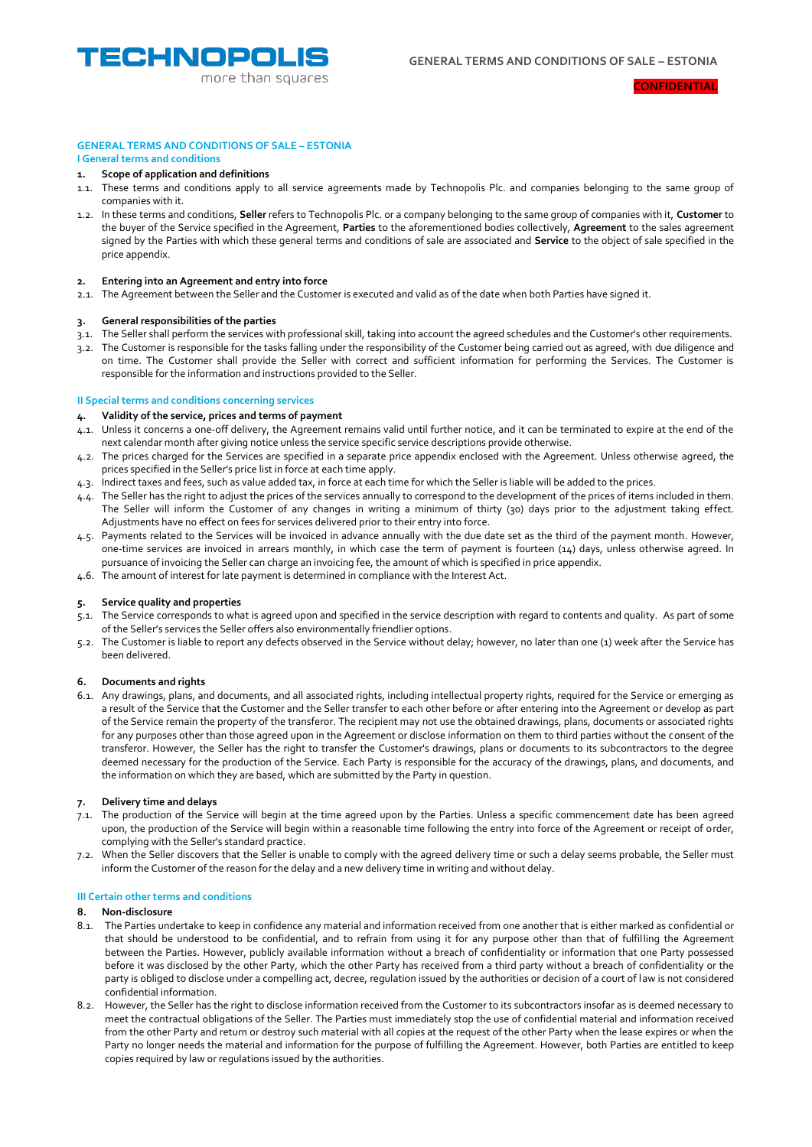

#### **CONFIDENTIAL**

## **GENERAL TERMS AND CONDITIONS OF SALE – ESTONIA I General terms and conditions**

# **1. Scope of application and definitions**

- 1.1. These terms and conditions apply to all service agreements made by Technopolis Plc. and companies belonging to the same group of companies with it.
- 1.2. In these terms and conditions, **Seller** refers to Technopolis Plc. or a company belonging to the same group of companies with it, **Customer** to the buyer of the Service specified in the Agreement, **Parties** to the aforementioned bodies collectively, **Agreement** to the sales agreement signed by the Parties with which these general terms and conditions of sale are associated and **Service** to the object of sale specified in the price appendix.

# **2. Entering into an Agreement and entry into force**

2.1. The Agreement between the Seller and the Customer is executed and valid as of the date when both Parties have signed it.

# **3. General responsibilities of the parties**

- 3.1. The Seller shall perform the services with professional skill, taking into account the agreed schedules and the Customer's other requirements.
- 3.2. The Customer is responsible for the tasks falling under the responsibility of the Customer being carried out as agreed, with due diligence and on time. The Customer shall provide the Seller with correct and sufficient information for performing the Services. The Customer is responsible for the information and instructions provided to the Seller.

# **II Special terms and conditions concerning services**

### **4. Validity of the service, prices and terms of payment**

- 4.1. Unless it concerns a one-off delivery, the Agreement remains valid until further notice, and it can be terminated to expire at the end of the next calendar month after giving notice unless the service specific service descriptions provide otherwise.
- 4.2. The prices charged for the Services are specified in a separate price appendix enclosed with the Agreement. Unless otherwise agreed, the prices specified in the Seller's price list in force at each time apply.
- 4.3. Indirect taxes and fees, such as value added tax, in force at each time for which the Seller is liable will be added to the prices.
- 4.4. The Seller has the right to adjust the prices of the services annually to correspond to the development of the prices of items included in them. The Seller will inform the Customer of any changes in writing a minimum of thirty (30) days prior to the adjustment taking effect. Adjustments have no effect on fees for services delivered prior to their entry into force.
- 4.5. Payments related to the Services will be invoiced in advance annually with the due date set as the third of the payment month. However, one-time services are invoiced in arrears monthly, in which case the term of payment is fourteen (14) days, unless otherwise agreed. In pursuance of invoicing the Seller can charge an invoicing fee, the amount of which is specified in price appendix.
- 4.6. The amount of interest for late payment is determined in compliance with the Interest Act.

# **5. Service quality and properties**

- 5.1. The Service corresponds to what is agreed upon and specified in the service description with regard to contents and quality. As part of some of the Seller's services the Seller offers also environmentally friendlier options.
- 5.2. The Customer is liable to report any defects observed in the Service without delay; however, no later than one (1) week after the Service has been delivered.

#### **6. Documents and rights**

6.1. Any drawings, plans, and documents, and all associated rights, including intellectual property rights, required for the Service or emerging as a result of the Service that the Customer and the Seller transfer to each other before or after entering into the Agreement or develop as part of the Service remain the property of the transferor. The recipient may not use the obtained drawings, plans, documents or associated rights for any purposes other than those agreed upon in the Agreement or disclose information on them to third parties without the consent of the transferor. However, the Seller has the right to transfer the Customer's drawings, plans or documents to its subcontractors to the degree deemed necessary for the production of the Service. Each Party is responsible for the accuracy of the drawings, plans, and documents, and the information on which they are based, which are submitted by the Party in question.

# **7. Delivery time and delays**

- 7.1. The production of the Service will begin at the time agreed upon by the Parties. Unless a specific commencement date has been agreed upon, the production of the Service will begin within a reasonable time following the entry into force of the Agreement or receipt of order, complying with the Seller's standard practice.
- 7.2. When the Seller discovers that the Seller is unable to comply with the agreed delivery time or such a delay seems probable, the Seller must inform the Customer of the reason for the delay and a new delivery time in writing and without delay.

#### **III Certain other terms and conditions**

#### **8. Non-disclosure**

- 8.1. The Parties undertake to keep in confidence any material and information received from one another that is either marked as confidential or that should be understood to be confidential, and to refrain from using it for any purpose other than that of fulfilling the Agreement between the Parties. However, publicly available information without a breach of confidentiality or information that one Party possessed before it was disclosed by the other Party, which the other Party has received from a third party without a breach of confidentiality or the party is obliged to disclose under a compelling act, decree, regulation issued by the authorities or decision of a court of law is not considered confidential information.
- 8.2. However, the Seller has the right to disclose information received from the Customer to its subcontractors insofar as is deemed necessary to meet the contractual obligations of the Seller. The Parties must immediately stop the use of confidential material and information received from the other Party and return or destroy such material with all copies at the request of the other Party when the lease expires or when the Party no longer needs the material and information for the purpose of fulfilling the Agreement. However, both Parties are entitled to keep copies required by law or regulations issued by the authorities.